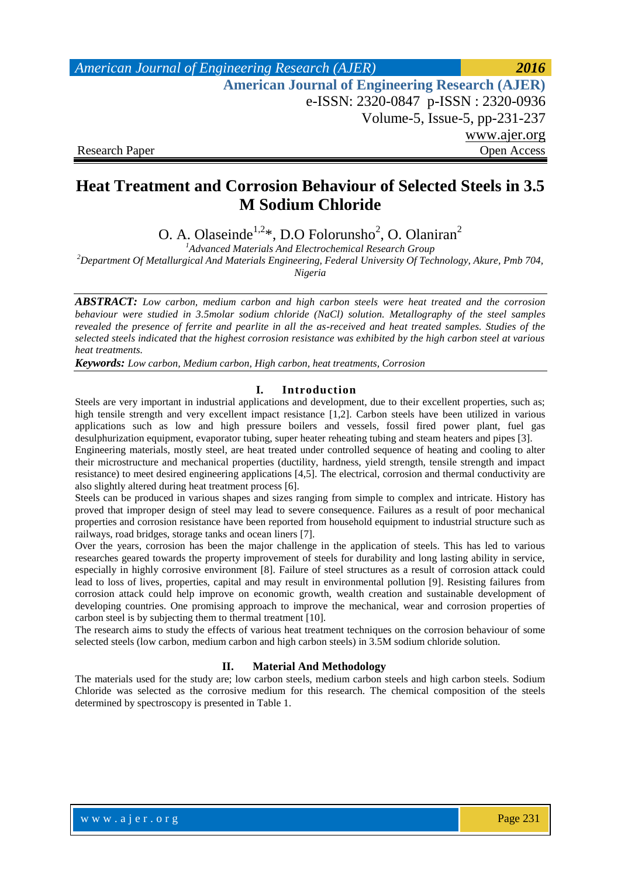*American Journal of Engineering Research (AJER) 2016*  **American Journal of Engineering Research (AJER)** e-ISSN: 2320-0847 p-ISSN : 2320-0936 Volume-5, Issue-5, pp-231-237 www.ajer.org Research Paper **Open Access** 

# **Heat Treatment and Corrosion Behaviour of Selected Steels in 3.5 M Sodium Chloride**

O. A. Olaseinde<sup>1,2\*</sup>, D.O Folorunsho<sup>2</sup>, O. Olaniran<sup>2</sup>

*<sup>1</sup>Advanced Materials And Electrochemical Research Group*

*<sup>2</sup>Department Of Metallurgical And Materials Engineering, Federal University Of Technology, Akure, Pmb 704,* 

*Nigeria*

*ABSTRACT: Low carbon, medium carbon and high carbon steels were heat treated and the corrosion behaviour were studied in 3.5molar sodium chloride (NaCl) solution. Metallography of the steel samples revealed the presence of ferrite and pearlite in all the as-received and heat treated samples. Studies of the selected steels indicated that the highest corrosion resistance was exhibited by the high carbon steel at various heat treatments.* 

*Keywords: Low carbon, Medium carbon, High carbon, heat treatments, Corrosion* 

#### **I. Introduction**

Steels are very important in industrial applications and development, due to their excellent properties, such as; high tensile strength and very excellent impact resistance [1,2]. Carbon steels have been utilized in various applications such as low and high pressure boilers and vessels, fossil fired power plant, fuel gas desulphurization equipment, evaporator tubing, super heater reheating tubing and steam heaters and pipes [3].

Engineering materials, mostly steel, are heat treated under controlled sequence of heating and cooling to alter their microstructure and mechanical properties (ductility, hardness, yield strength, tensile strength and impact resistance) to meet desired engineering applications [4,5]. The electrical, corrosion and thermal conductivity are also slightly altered during heat treatment process [6].

Steels can be produced in various shapes and sizes ranging from simple to complex and intricate. History has proved that improper design of steel may lead to severe consequence. Failures as a result of poor mechanical properties and corrosion resistance have been reported from household equipment to industrial structure such as railways, road bridges, storage tanks and ocean liners [7].

Over the years, corrosion has been the major challenge in the application of steels. This has led to various researches geared towards the property improvement of steels for durability and long lasting ability in service, especially in highly corrosive environment [8]. Failure of steel structures as a result of corrosion attack could lead to loss of lives, properties, capital and may result in environmental pollution [9]. Resisting failures from corrosion attack could help improve on economic growth, wealth creation and sustainable development of developing countries. One promising approach to improve the mechanical, wear and corrosion properties of carbon steel is by subjecting them to thermal treatment [10].

The research aims to study the effects of various heat treatment techniques on the corrosion behaviour of some selected steels (low carbon, medium carbon and high carbon steels) in 3.5M sodium chloride solution.

### **II. Material And Methodology**

The materials used for the study are; low carbon steels, medium carbon steels and high carbon steels. Sodium Chloride was selected as the corrosive medium for this research. The chemical composition of the steels determined by spectroscopy is presented in Table 1.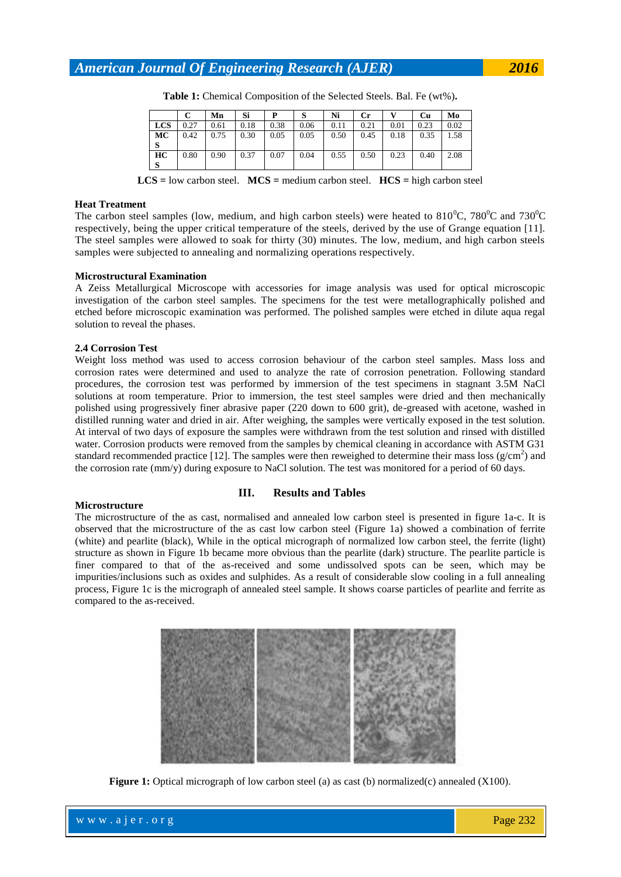*American Journal Of Engineering Research (AJER) 2016*

|     |      | Mn   | Si   |      | S    | Ni   | Сr   |      | Сu   | Mo   |
|-----|------|------|------|------|------|------|------|------|------|------|
| LCS | 0.27 | 0.61 | 0.18 | 0.38 | 0.06 | 0.11 | 0.21 | 0.01 | 0.23 | 0.02 |
| МC  | 0.42 | 0.75 | 0.30 | 0.05 | 0.05 | 0.50 | 0.45 | 0.18 | 0.35 | 1.58 |
| S   |      |      |      |      |      |      |      |      |      |      |
| HС  | 0.80 | 0.90 | 0.37 | 0.07 | 0.04 | 0.55 | 0.50 | 0.23 | 0.40 | 2.08 |
| S   |      |      |      |      |      |      |      |      |      |      |

**Table 1:** Chemical Composition of the Selected Steels. Bal. Fe (wt%)**.**

**LCS =** low carbon steel. **MCS =** medium carbon steel. **HCS =** high carbon steel

#### **Heat Treatment**

The carbon steel samples (low, medium, and high carbon steels) were heated to  $810^{\circ}$ C,  $780^{\circ}$ C and  $730^{\circ}$ C respectively, being the upper critical temperature of the steels, derived by the use of Grange equation [11]. The steel samples were allowed to soak for thirty (30) minutes. The low, medium, and high carbon steels samples were subjected to annealing and normalizing operations respectively.

#### **Microstructural Examination**

A Zeiss Metallurgical Microscope with accessories for image analysis was used for optical microscopic investigation of the carbon steel samples. The specimens for the test were metallographically polished and etched before microscopic examination was performed. The polished samples were etched in dilute aqua regal solution to reveal the phases.

#### **2.4 Corrosion Test**

Weight loss method was used to access corrosion behaviour of the carbon steel samples. Mass loss and corrosion rates were determined and used to analyze the rate of corrosion penetration. Following standard procedures, the corrosion test was performed by immersion of the test specimens in stagnant 3.5M NaCl solutions at room temperature. Prior to immersion, the test steel samples were dried and then mechanically polished using progressively finer abrasive paper (220 down to 600 grit), de-greased with acetone, washed in distilled running water and dried in air. After weighing, the samples were vertically exposed in the test solution. At interval of two days of exposure the samples were withdrawn from the test solution and rinsed with distilled water. Corrosion products were removed from the samples by chemical cleaning in accordance with ASTM G31 standard recommended practice [12]. The samples were then reweighed to determine their mass loss ( $g/cm<sup>2</sup>$ ) and the corrosion rate (mm/y) during exposure to NaCl solution. The test was monitored for a period of 60 days.

#### **Microstructure**

#### **III. Results and Tables**

The microstructure of the as cast, normalised and annealed low carbon steel is presented in figure 1a-c. It is observed that the microstructure of the as cast low carbon steel (Figure 1a) showed a combination of ferrite (white) and pearlite (black), While in the optical micrograph of normalized low carbon steel, the ferrite (light) structure as shown in Figure 1b became more obvious than the pearlite (dark) structure. The pearlite particle is finer compared to that of the as-received and some undissolved spots can be seen, which may be impurities/inclusions such as oxides and sulphides. As a result of considerable slow cooling in a full annealing process, Figure 1c is the micrograph of annealed steel sample. It shows coarse particles of pearlite and ferrite as compared to the as-received.



**Figure 1:** Optical micrograph of low carbon steel (a) as cast (b) normalized(c) annealed (X100).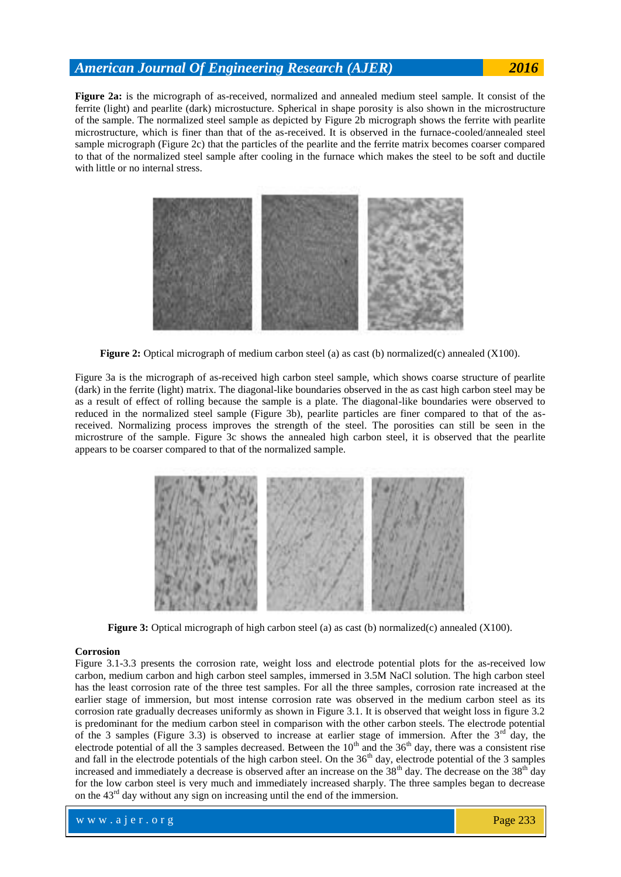# *American Journal Of Engineering Research (AJER) 2016*

**Figure 2a:** is the micrograph of as-received, normalized and annealed medium steel sample. It consist of the ferrite (light) and pearlite (dark) microstucture. Spherical in shape porosity is also shown in the microstructure of the sample. The normalized steel sample as depicted by Figure 2b micrograph shows the ferrite with pearlite microstructure, which is finer than that of the as-received. It is observed in the furnace-cooled/annealed steel sample micrograph (Figure 2c) that the particles of the pearlite and the ferrite matrix becomes coarser compared to that of the normalized steel sample after cooling in the furnace which makes the steel to be soft and ductile with little or no internal stress.



**Figure 2:** Optical micrograph of medium carbon steel (a) as cast (b) normalized(c) annealed (X100).

Figure 3a is the micrograph of as-received high carbon steel sample, which shows coarse structure of pearlite (dark) in the ferrite (light) matrix. The diagonal-like boundaries observed in the as cast high carbon steel may be as a result of effect of rolling because the sample is a plate. The diagonal-like boundaries were observed to reduced in the normalized steel sample (Figure 3b), pearlite particles are finer compared to that of the asreceived. Normalizing process improves the strength of the steel. The porosities can still be seen in the microstrure of the sample. Figure 3c shows the annealed high carbon steel, it is observed that the pearlite appears to be coarser compared to that of the normalized sample.



**Figure 3:** Optical micrograph of high carbon steel (a) as cast (b) normalized(c) annealed (X100).

#### **Corrosion**

Figure 3.1-3.3 presents the corrosion rate, weight loss and electrode potential plots for the as-received low carbon, medium carbon and high carbon steel samples, immersed in 3.5M NaCl solution. The high carbon steel has the least corrosion rate of the three test samples. For all the three samples, corrosion rate increased at the earlier stage of immersion, but most intense corrosion rate was observed in the medium carbon steel as its corrosion rate gradually decreases uniformly as shown in Figure 3.1. It is observed that weight loss in figure 3.2 is predominant for the medium carbon steel in comparison with the other carbon steels. The electrode potential of the 3 samples (Figure 3.3) is observed to increase at earlier stage of immersion. After the  $3^{rd}$  day, the electrode potential of all the 3 samples decreased. Between the  $10<sup>th</sup>$  and the 36<sup>th</sup> day, there was a consistent rise and fall in the electrode potentials of the high carbon steel. On the  $36<sup>th</sup>$  day, electrode potential of the 3 samples increased and immediately a decrease is observed after an increase on the 38<sup>th</sup> day. The decrease on the 38<sup>th</sup> day for the low carbon steel is very much and immediately increased sharply. The three samples began to decrease on the 43<sup>rd</sup> day without any sign on increasing until the end of the immersion.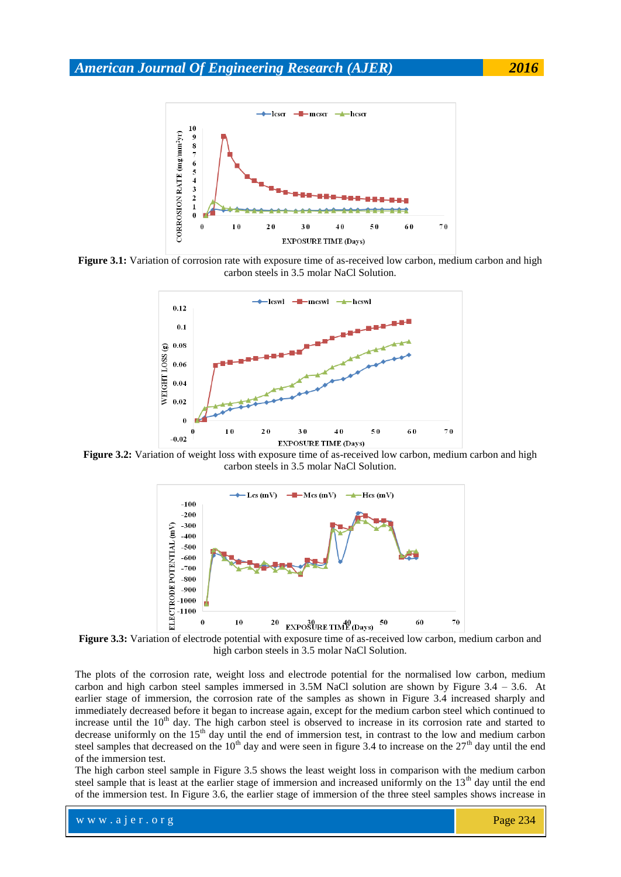

**Figure 3.1:** Variation of corrosion rate with exposure time of as-received low carbon, medium carbon and high carbon steels in 3.5 molar NaCl Solution.



**Figure 3.2:** Variation of weight loss with exposure time of as-received low carbon, medium carbon and high carbon steels in 3.5 molar NaCl Solution.



**Figure 3.3:** Variation of electrode potential with exposure time of as-received low carbon, medium carbon and high carbon steels in 3.5 molar NaCl Solution.

The plots of the corrosion rate, weight loss and electrode potential for the normalised low carbon, medium carbon and high carbon steel samples immersed in 3.5M NaCl solution are shown by Figure 3.4 – 3.6. At earlier stage of immersion, the corrosion rate of the samples as shown in Figure 3.4 increased sharply and immediately decreased before it began to increase again, except for the medium carbon steel which continued to increase until the 10<sup>th</sup> day. The high carbon steel is observed to increase in its corrosion rate and started to decrease uniformly on the  $15<sup>th</sup>$  day until the end of immersion test, in contrast to the low and medium carbon steel samples that decreased on the  $10<sup>th</sup>$  day and were seen in figure 3.4 to increase on the  $27<sup>th</sup>$  day until the end of the immersion test.

The high carbon steel sample in Figure 3.5 shows the least weight loss in comparison with the medium carbon steel sample that is least at the earlier stage of immersion and increased uniformly on the  $13<sup>th</sup>$  day until the end of the immersion test. In Figure 3.6, the earlier stage of immersion of the three steel samples shows increase in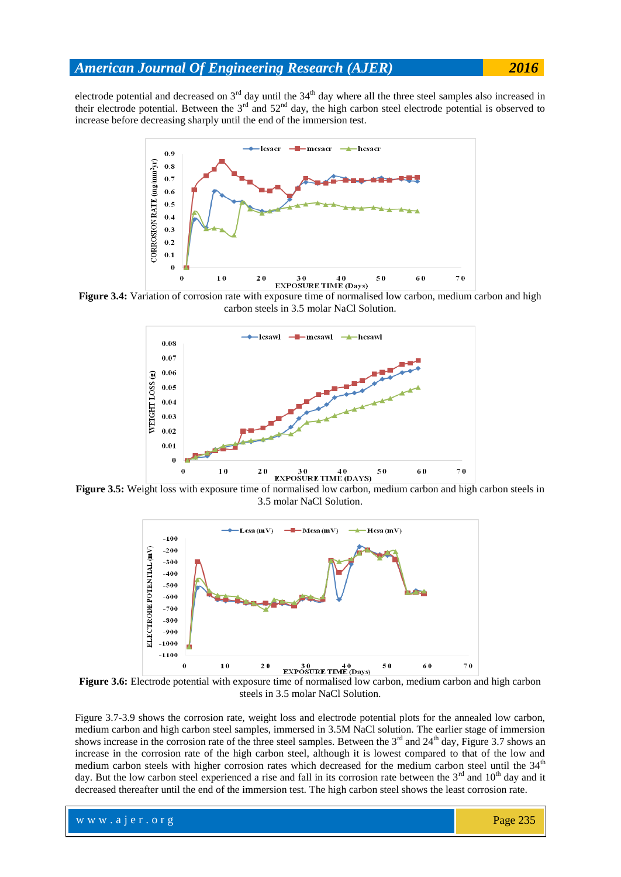electrode potential and decreased on  $3<sup>rd</sup>$  day until the  $34<sup>th</sup>$  day where all the three steel samples also increased in their electrode potential. Between the  $3<sup>rd</sup>$  and  $52<sup>nd</sup>$  day, the high carbon steel electrode potential is observed to increase before decreasing sharply until the end of the immersion test.



**Figure 3.4:** Variation of corrosion rate with exposure time of normalised low carbon, medium carbon and high carbon steels in 3.5 molar NaCl Solution.



**Figure 3.5:** Weight loss with exposure time of normalised low carbon, medium carbon and high carbon steels in 3.5 molar NaCl Solution.



Figure 3.6: Electrode potential with exposure time of normalised low carbon, medium carbon and high carbon steels in 3.5 molar NaCl Solution.

Figure 3.7-3.9 shows the corrosion rate, weight loss and electrode potential plots for the annealed low carbon, medium carbon and high carbon steel samples, immersed in 3.5M NaCl solution. The earlier stage of immersion shows increase in the corrosion rate of the three steel samples. Between the  $3<sup>rd</sup>$  and  $24<sup>th</sup>$  day, Figure 3.7 shows an increase in the corrosion rate of the high carbon steel, although it is lowest compared to that of the low and medium carbon steels with higher corrosion rates which decreased for the medium carbon steel until the  $34<sup>th</sup>$ day. But the low carbon steel experienced a rise and fall in its corrosion rate between the  $3<sup>rd</sup>$  and  $10<sup>th</sup>$  day and it decreased thereafter until the end of the immersion test. The high carbon steel shows the least corrosion rate.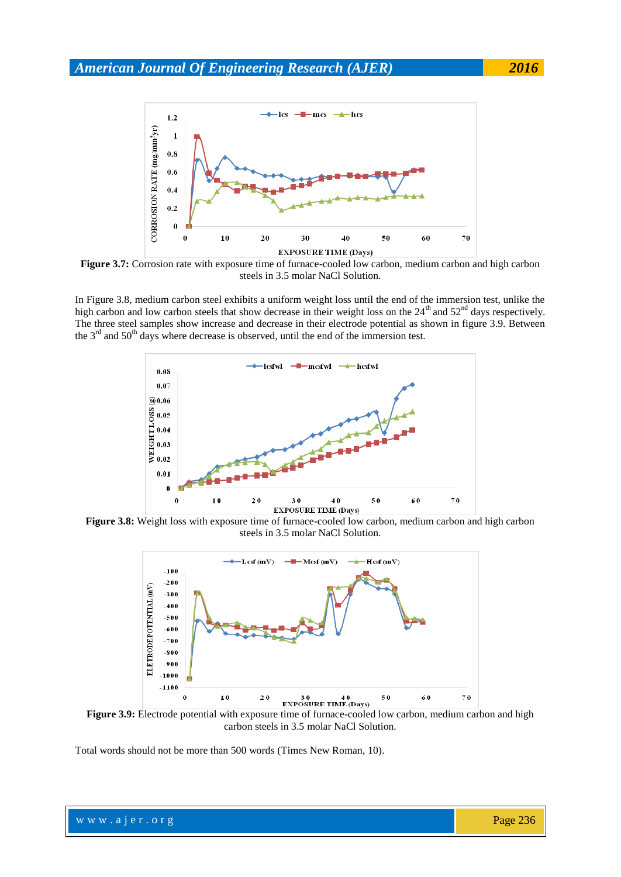

**Figure 3.7:** Corrosion rate with exposure time of furnace-cooled low carbon, medium carbon and high carbon steels in 3.5 molar NaCl Solution.

In Figure 3.8, medium carbon steel exhibits a uniform weight loss until the end of the immersion test, unlike the high carbon and low carbon steels that show decrease in their weight loss on the 24<sup>th</sup> and 52<sup>nd</sup> days respectively. The three steel samples show increase and decrease in their electrode potential as shown in figure 3.9. Between the  $3<sup>rd</sup>$  and  $50<sup>th</sup>$  days where decrease is observed, until the end of the immersion test.



**Figure 3.8:** Weight loss with exposure time of furnace-cooled low carbon, medium carbon and high carbon steels in 3.5 molar NaCl Solution.



Figure 3.9: Electrode potential with exposure time of furnace-cooled low carbon, medium carbon and high carbon steels in 3.5 molar NaCl Solution.

Total words should not be more than 500 words (Times New Roman, 10).